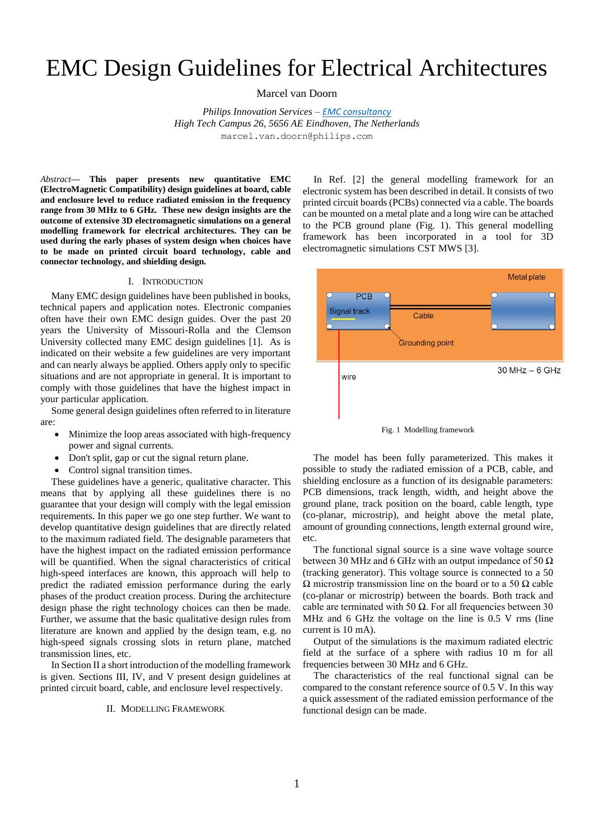# EMC Design Guidelines for Electrical Architectures

Marcel van Doorn

*Philips Innovation Services – [EMC consultancy](http://www.innovationservices.philips.com/looking-expertise/design-reliability-solutions/emc-consultancy?utm_source=signature&utm_medium=email&utm_campaign=EMC%20consultancy) High Tech Campus 26, 5656 AE Eindhoven, The Netherlands* marcel.van.doorn@philips.com

*Abstract***— This paper presents new quantitative EMC (ElectroMagnetic Compatibility) design guidelines at board, cable and enclosure level to reduce radiated emission in the frequency range from 30 MHz to 6 GHz. These new design insights are the outcome of extensive 3D electromagnetic simulations on a general modelling framework for electrical architectures. They can be used during the early phases of system design when choices have to be made on printed circuit board technology, cable and connector technology, and shielding design.** 

#### I. INTRODUCTION

Many EMC design guidelines have been published in books, technical papers and application notes. Electronic companies often have their own EMC design guides. Over the past 20 years the University of Missouri-Rolla and the Clemson University collected many EMC design guidelines [1]. As is indicated on their website a few guidelines are very important and can nearly always be applied. Others apply only to specific situations and are not appropriate in general. It is important to comply with those guidelines that have the highest impact in your particular application.

Some general design guidelines often referred to in literature are:

- Minimize the loop areas associated with high-frequency power and signal currents.
- Don't split, gap or cut the signal return plane.
- Control signal transition times.

These guidelines have a generic, qualitative character. This means that by applying all these guidelines there is no guarantee that your design will comply with the legal emission requirements. In this paper we go one step further. We want to develop quantitative design guidelines that are directly related to the maximum radiated field. The designable parameters that have the highest impact on the radiated emission performance will be quantified. When the signal characteristics of critical high-speed interfaces are known, this approach will help to predict the radiated emission performance during the early phases of the product creation process. During the architecture design phase the right technology choices can then be made. Further, we assume that the basic qualitative design rules from literature are known and applied by the design team, e.g. no high-speed signals crossing slots in return plane, matched transmission lines, etc.

In Section II a short introduction of the modelling framework is given. Sections III, IV, and V present design guidelines at printed circuit board, cable, and enclosure level respectively.

### II. MODELLING FRAMEWORK

In Ref. [2] the general modelling framework for an electronic system has been described in detail. It consists of two printed circuit boards (PCBs) connected via a cable. The boards can be mounted on a metal plate and a long wire can be attached to the PCB ground plane (Fig. 1). This general modelling framework has been incorporated in a tool for 3D electromagnetic simulations CST MWS [3].



Fig. 1 Modelling framework

The model has been fully parameterized. This makes it possible to study the radiated emission of a PCB, cable, and shielding enclosure as a function of its designable parameters: PCB dimensions, track length, width, and height above the ground plane, track position on the board, cable length, type (co-planar, microstrip), and height above the metal plate, amount of grounding connections, length external ground wire, etc.

The functional signal source is a sine wave voltage source between 30 MHz and 6 GHz with an output impedance of 50  $\Omega$ (tracking generator). This voltage source is connected to a 50 Ω microstrip transmission line on the board or to a 50 Ω cable (co-planar or microstrip) between the boards. Both track and cable are terminated with 50  $\Omega$ . For all frequencies between 30 MHz and 6 GHz the voltage on the line is 0.5 V rms (line current is 10 mA).

Output of the simulations is the maximum radiated electric field at the surface of a sphere with radius 10 m for all frequencies between 30 MHz and 6 GHz.

The characteristics of the real functional signal can be compared to the constant reference source of 0.5 V. In this way a quick assessment of the radiated emission performance of the functional design can be made.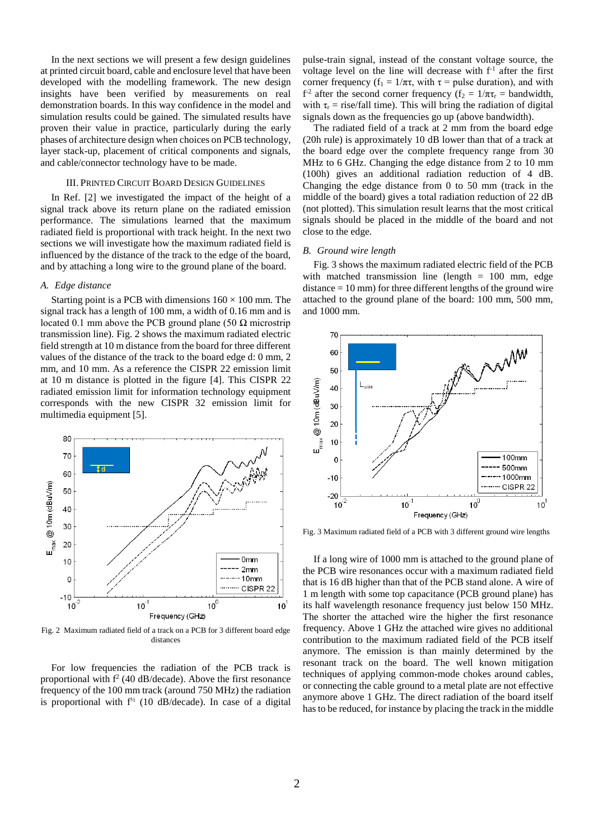In the next sections we will present a few design guidelines at printed circuit board, cable and enclosure level that have been developed with the modelling framework. The new design insights have been verified by measurements on real demonstration boards. In this way confidence in the model and simulation results could be gained. The simulated results have proven their value in practice, particularly during the early phases of architecture design when choices on PCB technology, layer stack-up, placement of critical components and signals, and cable/connector technology have to be made.

## III. PRINTED CIRCUIT BOARD DESIGN GUIDELINES

In Ref. [2] we investigated the impact of the height of a signal track above its return plane on the radiated emission performance. The simulations learned that the maximum radiated field is proportional with track height. In the next two sections we will investigate how the maximum radiated field is influenced by the distance of the track to the edge of the board, and by attaching a long wire to the ground plane of the board.

# *A. Edge distance*

Starting point is a PCB with dimensions  $160 \times 100$  mm. The signal track has a length of 100 mm, a width of 0.16 mm and is located 0.1 mm above the PCB ground plane (50  $\Omega$  microstrip transmission line). Fig. 2 shows the maximum radiated electric field strength at 10 m distance from the board for three different values of the distance of the track to the board edge d: 0 mm, 2 mm, and 10 mm. As a reference the CISPR 22 emission limit at 10 m distance is plotted in the figure [4]. This CISPR 22 radiated emission limit for information technology equipment corresponds with the new CISPR 32 emission limit for multimedia equipment [5].



Fig. 2 Maximum radiated field of a track on a PCB for 3 different board edge distances

For low frequencies the radiation of the PCB track is proportional with  $f^2$  (40 dB/decade). Above the first resonance frequency of the 100 mm track (around 750 MHz) the radiation is proportional with  $f^{\frac{1}{2}}$  (10 dB/decade). In case of a digital

pulse-train signal, instead of the constant voltage source, the voltage level on the line will decrease with  $f<sup>-1</sup>$  after the first corner frequency ( $f_1 = 1/\pi\tau$ , with  $\tau$  = pulse duration), and with f<sup>-2</sup> after the second corner frequency ( $f_2 = 1/\pi \tau_r =$  bandwidth, with  $\tau_r$  = rise/fall time). This will bring the radiation of digital signals down as the frequencies go up (above bandwidth).

The radiated field of a track at 2 mm from the board edge (20h rule) is approximately 10 dB lower than that of a track at the board edge over the complete frequency range from 30 MHz to 6 GHz. Changing the edge distance from 2 to 10 mm (100h) gives an additional radiation reduction of 4 dB. Changing the edge distance from 0 to 50 mm (track in the middle of the board) gives a total radiation reduction of 22 dB (not plotted). This simulation result learns that the most critical signals should be placed in the middle of the board and not close to the edge.

#### *B. Ground wire length*

Fig. 3 shows the maximum radiated electric field of the PCB with matched transmission line (length  $= 100$  mm, edge  $distance = 10$  mm) for three different lengths of the ground wire attached to the ground plane of the board: 100 mm, 500 mm, and 1000 mm.



Fig. 3 Maximum radiated field of a PCB with 3 different ground wire lengths

If a long wire of 1000 mm is attached to the ground plane of the PCB wire resonances occur with a maximum radiated field that is 16 dB higher than that of the PCB stand alone. A wire of 1 m length with some top capacitance (PCB ground plane) has its half wavelength resonance frequency just below 150 MHz. The shorter the attached wire the higher the first resonance frequency. Above 1 GHz the attached wire gives no additional contribution to the maximum radiated field of the PCB itself anymore. The emission is than mainly determined by the resonant track on the board. The well known mitigation techniques of applying common-mode chokes around cables, or connecting the cable ground to a metal plate are not effective anymore above 1 GHz. The direct radiation of the board itself has to be reduced, for instance by placing the track in the middle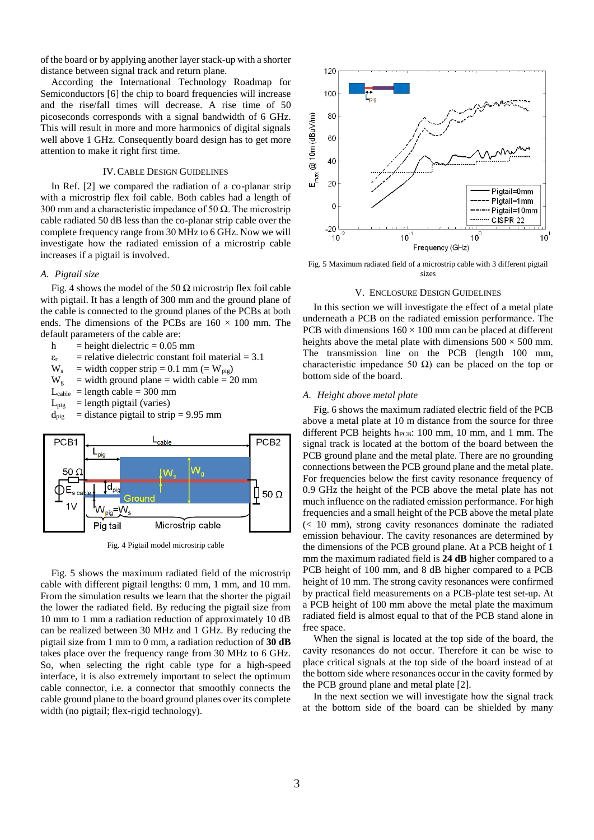of the board or by applying another layer stack-up with a shorter distance between signal track and return plane.

According the International Technology Roadmap for Semiconductors [6] the chip to board frequencies will increase and the rise/fall times will decrease. A rise time of 50 picoseconds corresponds with a signal bandwidth of 6 GHz. This will result in more and more harmonics of digital signals well above 1 GHz. Consequently board design has to get more attention to make it right first time.

# IV.CABLE DESIGN GUIDELINES

In Ref. [2] we compared the radiation of a co-planar strip with a microstrip flex foil cable. Both cables had a length of 300 mm and a characteristic impedance of 50  $\Omega$ . The microstrip cable radiated 50 dB less than the co-planar strip cable over the complete frequency range from 30 MHz to 6 GHz. Now we will investigate how the radiated emission of a microstrip cable increases if a pigtail is involved.

#### *A. Pigtail size*

Fig. 4 shows the model of the 50  $\Omega$  microstrip flex foil cable with pigtail. It has a length of 300 mm and the ground plane of the cable is connected to the ground planes of the PCBs at both ends. The dimensions of the PCBs are  $160 \times 100$  mm. The default parameters of the cable are:

h = height dielectric =  $0.05$  mm

- $\varepsilon_r$  = relative dielectric constant foil material = 3.1
- $W_s$  = width copper strip = 0.1 mm (=  $W_{\text{pie}}$ )
- $W_g$  = width ground plane = width cable = 20 mm
- $L_{\text{cable}} =$  length cable = 300 mm
- $L_{\text{pig}}$  = length pigtail (varies)
- $d_{\text{pig}}$  = distance pigtail to strip = 9.95 mm



Fig. 4 Pigtail model microstrip cable

Fig. 5 shows the maximum radiated field of the microstrip cable with different pigtail lengths: 0 mm, 1 mm, and 10 mm. From the simulation results we learn that the shorter the pigtail the lower the radiated field. By reducing the pigtail size from 10 mm to 1 mm a radiation reduction of approximately 10 dB can be realized between 30 MHz and 1 GHz. By reducing the pigtail size from 1 mm to 0 mm, a radiation reduction of **30 dB** takes place over the frequency range from 30 MHz to 6 GHz. So, when selecting the right cable type for a high-speed interface, it is also extremely important to select the optimum cable connector, i.e. a connector that smoothly connects the cable ground plane to the board ground planes over its complete width (no pigtail; flex-rigid technology).



Fig. 5 Maximum radiated field of a microstrip cable with 3 different pigtail sizes

#### V. ENCLOSURE DESIGN GUIDELINES

In this section we will investigate the effect of a metal plate underneath a PCB on the radiated emission performance. The PCB with dimensions  $160 \times 100$  mm can be placed at different heights above the metal plate with dimensions  $500 \times 500$  mm. The transmission line on the PCB (length 100 mm, characteristic impedance 50  $\Omega$ ) can be placed on the top or bottom side of the board.

#### *A. Height above metal plate*

Fig. 6 shows the maximum radiated electric field of the PCB above a metal plate at 10 m distance from the source for three different PCB heights h<sub>PCB</sub>: 100 mm, 10 mm, and 1 mm. The signal track is located at the bottom of the board between the PCB ground plane and the metal plate. There are no grounding connections between the PCB ground plane and the metal plate. For frequencies below the first cavity resonance frequency of 0.9 GHz the height of the PCB above the metal plate has not much influence on the radiated emission performance. For high frequencies and a small height of the PCB above the metal plate (< 10 mm), strong cavity resonances dominate the radiated emission behaviour. The cavity resonances are determined by the dimensions of the PCB ground plane. At a PCB height of 1 mm the maximum radiated field is **24 dB** higher compared to a PCB height of 100 mm, and 8 dB higher compared to a PCB height of 10 mm. The strong cavity resonances were confirmed by practical field measurements on a PCB-plate test set-up. At a PCB height of 100 mm above the metal plate the maximum radiated field is almost equal to that of the PCB stand alone in free space.

When the signal is located at the top side of the board, the cavity resonances do not occur. Therefore it can be wise to place critical signals at the top side of the board instead of at the bottom side where resonances occur in the cavity formed by the PCB ground plane and metal plate [2].

In the next section we will investigate how the signal track at the bottom side of the board can be shielded by many